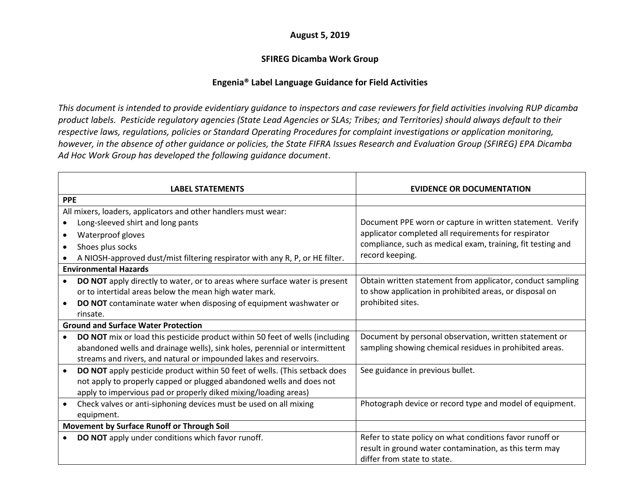## **August 5, 2019**

## **SFIREG Dicamba Work Group**

## **Engenia® Label Language Guidance for Field Activities**

*This document is intended to provide evidentiary guidance to inspectors and case reviewers for field activities involving RUP dicamba product labels. Pesticide regulatory agencies (State Lead Agencies or SLAs; Tribes; and Territories) should always default to their respective laws, regulations, policies or Standard Operating Procedures for complaint investigations or application monitoring, however, in the absence of other guidance or policies, the State FIFRA Issues Research and Evaluation Group (SFIREG) EPA Dicamba Ad Hoc Work Group has developed the following guidance document*.

|            | <b>LABEL STATEMENTS</b>                                                      | <b>EVIDENCE OR DOCUMENTATION</b>                            |
|------------|------------------------------------------------------------------------------|-------------------------------------------------------------|
| <b>PPE</b> |                                                                              |                                                             |
|            | All mixers, loaders, applicators and other handlers must wear:               |                                                             |
|            | Long-sleeved shirt and long pants                                            | Document PPE worn or capture in written statement. Verify   |
| $\bullet$  | Waterproof gloves                                                            | applicator completed all requirements for respirator        |
|            | Shoes plus socks                                                             | compliance, such as medical exam, training, fit testing and |
|            | A NIOSH-approved dust/mist filtering respirator with any R, P, or HE filter. | record keeping.                                             |
|            | <b>Environmental Hazards</b>                                                 |                                                             |
| $\bullet$  | DO NOT apply directly to water, or to areas where surface water is present   | Obtain written statement from applicator, conduct sampling  |
|            | or to intertidal areas below the mean high water mark.                       | to show application in prohibited areas, or disposal on     |
|            | DO NOT contaminate water when disposing of equipment washwater or            | prohibited sites.                                           |
|            | rinsate.                                                                     |                                                             |
|            | <b>Ground and Surface Water Protection</b>                                   |                                                             |
|            | DO NOT mix or load this pesticide product within 50 feet of wells (including | Document by personal observation, written statement or      |
|            | abandoned wells and drainage wells), sink holes, perennial or intermittent   | sampling showing chemical residues in prohibited areas.     |
|            | streams and rivers, and natural or impounded lakes and reservoirs.           |                                                             |
| $\bullet$  | DO NOT apply pesticide product within 50 feet of wells. (This setback does   | See guidance in previous bullet.                            |
|            | not apply to properly capped or plugged abandoned wells and does not         |                                                             |
|            | apply to impervious pad or properly diked mixing/loading areas)              |                                                             |
| $\bullet$  | Check valves or anti-siphoning devices must be used on all mixing            | Photograph device or record type and model of equipment.    |
|            | equipment.                                                                   |                                                             |
|            | Movement by Surface Runoff or Through Soil                                   |                                                             |
|            | DO NOT apply under conditions which favor runoff.                            | Refer to state policy on what conditions favor runoff or    |
|            |                                                                              | result in ground water contamination, as this term may      |
|            |                                                                              | differ from state to state.                                 |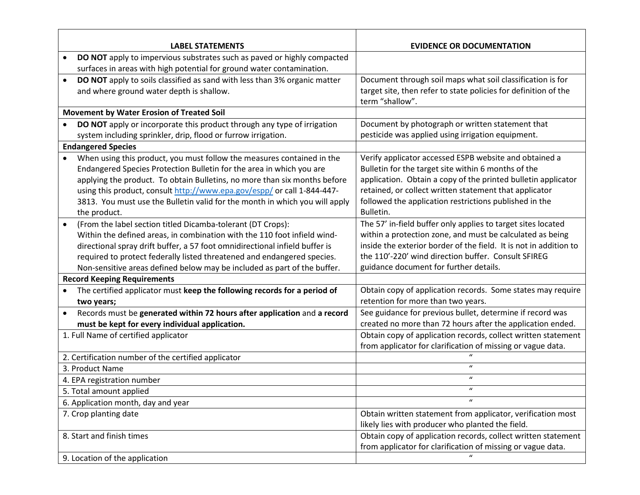|                                    | <b>LABEL STATEMENTS</b>                                                     | <b>EVIDENCE OR DOCUMENTATION</b>                                  |
|------------------------------------|-----------------------------------------------------------------------------|-------------------------------------------------------------------|
|                                    | DO NOT apply to impervious substrates such as paved or highly compacted     |                                                                   |
|                                    | surfaces in areas with high potential for ground water contamination.       |                                                                   |
|                                    | DO NOT apply to soils classified as sand with less than 3% organic matter   | Document through soil maps what soil classification is for        |
|                                    | and where ground water depth is shallow.                                    | target site, then refer to state policies for definition of the   |
|                                    |                                                                             | term "shallow".                                                   |
|                                    | <b>Movement by Water Erosion of Treated Soil</b>                            |                                                                   |
|                                    | DO NOT apply or incorporate this product through any type of irrigation     | Document by photograph or written statement that                  |
|                                    | system including sprinkler, drip, flood or furrow irrigation.               | pesticide was applied using irrigation equipment.                 |
|                                    | <b>Endangered Species</b>                                                   |                                                                   |
|                                    | When using this product, you must follow the measures contained in the      | Verify applicator accessed ESPB website and obtained a            |
|                                    | Endangered Species Protection Bulletin for the area in which you are        | Bulletin for the target site within 6 months of the               |
|                                    | applying the product. To obtain Bulletins, no more than six months before   | application. Obtain a copy of the printed bulletin applicator     |
|                                    | using this product, consult http://www.epa.gov/espp/ or call 1-844-447-     | retained, or collect written statement that applicator            |
|                                    | 3813. You must use the Bulletin valid for the month in which you will apply | followed the application restrictions published in the            |
|                                    | the product.                                                                | Bulletin.                                                         |
| $\bullet$                          | (From the label section titled Dicamba-tolerant (DT Crops):                 | The 57' in-field buffer only applies to target sites located      |
|                                    | Within the defined areas, in combination with the 110 foot infield wind-    | within a protection zone, and must be calculated as being         |
|                                    | directional spray drift buffer, a 57 foot omnidirectional infield buffer is | inside the exterior border of the field. It is not in addition to |
|                                    | required to protect federally listed threatened and endangered species.     | the 110'-220' wind direction buffer. Consult SFIREG               |
|                                    | Non-sensitive areas defined below may be included as part of the buffer.    | guidance document for further details.                            |
|                                    | <b>Record Keeping Requirements</b>                                          |                                                                   |
| $\bullet$                          | The certified applicator must keep the following records for a period of    | Obtain copy of application records. Some states may require       |
|                                    | two years;                                                                  | retention for more than two years.                                |
|                                    | Records must be generated within 72 hours after application and a record    | See guidance for previous bullet, determine if record was         |
|                                    | must be kept for every individual application.                              | created no more than 72 hours after the application ended.        |
|                                    | 1. Full Name of certified applicator                                        | Obtain copy of application records, collect written statement     |
|                                    |                                                                             | from applicator for clarification of missing or vague data.       |
|                                    | 2. Certification number of the certified applicator                         |                                                                   |
|                                    | 3. Product Name                                                             | $\boldsymbol{u}$                                                  |
|                                    | 4. EPA registration number                                                  | $\boldsymbol{u}$                                                  |
| 5. Total amount applied            |                                                                             | $\boldsymbol{u}$                                                  |
| 6. Application month, day and year |                                                                             | $\boldsymbol{\mathcal{U}}$                                        |
|                                    | 7. Crop planting date                                                       | Obtain written statement from applicator, verification most       |
|                                    |                                                                             | likely lies with producer who planted the field.                  |
|                                    | 8. Start and finish times                                                   | Obtain copy of application records, collect written statement     |
|                                    |                                                                             | from applicator for clarification of missing or vague data.       |
|                                    | 9. Location of the application                                              |                                                                   |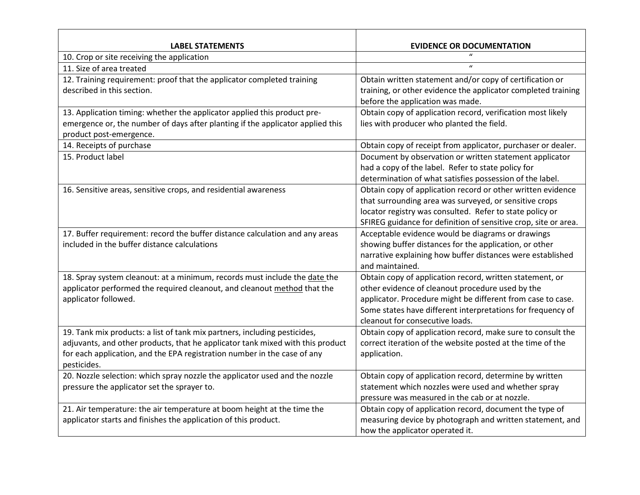| <b>LABEL STATEMENTS</b>                                                        | <b>EVIDENCE OR DOCUMENTATION</b>                                                               |
|--------------------------------------------------------------------------------|------------------------------------------------------------------------------------------------|
| 10. Crop or site receiving the application                                     | $\mathbf{u}$                                                                                   |
| 11. Size of area treated                                                       | $\mathbf{u}$                                                                                   |
| 12. Training requirement: proof that the applicator completed training         | Obtain written statement and/or copy of certification or                                       |
| described in this section.                                                     | training, or other evidence the applicator completed training                                  |
|                                                                                | before the application was made.                                                               |
| 13. Application timing: whether the applicator applied this product pre-       | Obtain copy of application record, verification most likely                                    |
| emergence or, the number of days after planting if the applicator applied this | lies with producer who planted the field.                                                      |
| product post-emergence.                                                        |                                                                                                |
| 14. Receipts of purchase                                                       | Obtain copy of receipt from applicator, purchaser or dealer.                                   |
| 15. Product label                                                              | Document by observation or written statement applicator                                        |
|                                                                                | had a copy of the label. Refer to state policy for                                             |
|                                                                                | determination of what satisfies possession of the label.                                       |
| 16. Sensitive areas, sensitive crops, and residential awareness                | Obtain copy of application record or other written evidence                                    |
|                                                                                | that surrounding area was surveyed, or sensitive crops                                         |
|                                                                                | locator registry was consulted. Refer to state policy or                                       |
|                                                                                | SFIREG guidance for definition of sensitive crop, site or area.                                |
| 17. Buffer requirement: record the buffer distance calculation and any areas   | Acceptable evidence would be diagrams or drawings                                              |
| included in the buffer distance calculations                                   | showing buffer distances for the application, or other                                         |
|                                                                                | narrative explaining how buffer distances were established                                     |
|                                                                                | and maintained.                                                                                |
| 18. Spray system cleanout: at a minimum, records must include the date the     | Obtain copy of application record, written statement, or                                       |
| applicator performed the required cleanout, and cleanout method that the       | other evidence of cleanout procedure used by the                                               |
| applicator followed.                                                           | applicator. Procedure might be different from case to case.                                    |
|                                                                                | Some states have different interpretations for frequency of<br>cleanout for consecutive loads. |
| 19. Tank mix products: a list of tank mix partners, including pesticides,      | Obtain copy of application record, make sure to consult the                                    |
| adjuvants, and other products, that he applicator tank mixed with this product | correct iteration of the website posted at the time of the                                     |
| for each application, and the EPA registration number in the case of any       | application.                                                                                   |
| pesticides.                                                                    |                                                                                                |
| 20. Nozzle selection: which spray nozzle the applicator used and the nozzle    | Obtain copy of application record, determine by written                                        |
| pressure the applicator set the sprayer to.                                    | statement which nozzles were used and whether spray                                            |
|                                                                                | pressure was measured in the cab or at nozzle.                                                 |
| 21. Air temperature: the air temperature at boom height at the time the        | Obtain copy of application record, document the type of                                        |
| applicator starts and finishes the application of this product.                | measuring device by photograph and written statement, and                                      |
|                                                                                | how the applicator operated it.                                                                |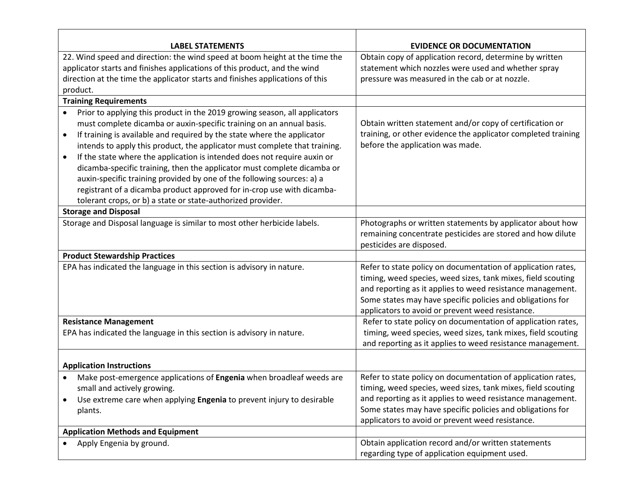| <b>EVIDENCE OR DOCUMENTATION</b>                                                                                                       |
|----------------------------------------------------------------------------------------------------------------------------------------|
| 22. Wind speed and direction: the wind speed at boom height at the time the<br>Obtain copy of application record, determine by written |
| statement which nozzles were used and whether spray                                                                                    |
| pressure was measured in the cab or at nozzle.                                                                                         |
|                                                                                                                                        |
|                                                                                                                                        |
| Prior to applying this product in the 2019 growing season, all applicators                                                             |
| Obtain written statement and/or copy of certification or                                                                               |
| training, or other evidence the applicator completed training                                                                          |
| before the application was made.<br>intends to apply this product, the applicator must complete that training.                         |
| If the state where the application is intended does not require auxin or                                                               |
| dicamba-specific training, then the applicator must complete dicamba or                                                                |
|                                                                                                                                        |
| registrant of a dicamba product approved for in-crop use with dicamba-                                                                 |
|                                                                                                                                        |
|                                                                                                                                        |
| Photographs or written statements by applicator about how                                                                              |
| remaining concentrate pesticides are stored and how dilute                                                                             |
| pesticides are disposed.                                                                                                               |
|                                                                                                                                        |
| Refer to state policy on documentation of application rates,                                                                           |
| timing, weed species, weed sizes, tank mixes, field scouting                                                                           |
| and reporting as it applies to weed resistance management.                                                                             |
| Some states may have specific policies and obligations for                                                                             |
| applicators to avoid or prevent weed resistance.                                                                                       |
| Refer to state policy on documentation of application rates,                                                                           |
| timing, weed species, weed sizes, tank mixes, field scouting                                                                           |
| and reporting as it applies to weed resistance management.                                                                             |
|                                                                                                                                        |
| Refer to state policy on documentation of application rates,<br>Make post-emergence applications of Engenia when broadleaf weeds are   |
| timing, weed species, weed sizes, tank mixes, field scouting                                                                           |
| and reporting as it applies to weed resistance management.<br>Use extreme care when applying Engenia to prevent injury to desirable    |
| Some states may have specific policies and obligations for                                                                             |
| applicators to avoid or prevent weed resistance.                                                                                       |
|                                                                                                                                        |
| Obtain application record and/or written statements                                                                                    |
| regarding type of application equipment used.                                                                                          |
|                                                                                                                                        |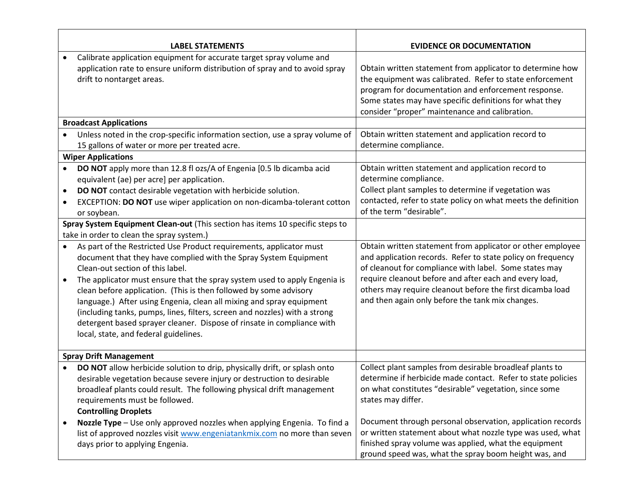|           | <b>LABEL STATEMENTS</b>                                                                                                                                                                                                                                                                                                                                                                                                 | <b>EVIDENCE OR DOCUMENTATION</b>                                                                                                                                                                                                                                                          |
|-----------|-------------------------------------------------------------------------------------------------------------------------------------------------------------------------------------------------------------------------------------------------------------------------------------------------------------------------------------------------------------------------------------------------------------------------|-------------------------------------------------------------------------------------------------------------------------------------------------------------------------------------------------------------------------------------------------------------------------------------------|
|           | Calibrate application equipment for accurate target spray volume and<br>application rate to ensure uniform distribution of spray and to avoid spray<br>drift to nontarget areas.                                                                                                                                                                                                                                        | Obtain written statement from applicator to determine how<br>the equipment was calibrated. Refer to state enforcement<br>program for documentation and enforcement response.<br>Some states may have specific definitions for what they<br>consider "proper" maintenance and calibration. |
|           | <b>Broadcast Applications</b>                                                                                                                                                                                                                                                                                                                                                                                           |                                                                                                                                                                                                                                                                                           |
|           | Unless noted in the crop-specific information section, use a spray volume of<br>15 gallons of water or more per treated acre.                                                                                                                                                                                                                                                                                           | Obtain written statement and application record to<br>determine compliance.                                                                                                                                                                                                               |
|           | <b>Wiper Applications</b>                                                                                                                                                                                                                                                                                                                                                                                               |                                                                                                                                                                                                                                                                                           |
| $\bullet$ | DO NOT apply more than 12.8 fl ozs/A of Engenia [0.5 lb dicamba acid<br>equivalent (ae) per acre] per application.<br>DO NOT contact desirable vegetation with herbicide solution.<br>EXCEPTION: DO NOT use wiper application on non-dicamba-tolerant cotton<br>or soybean.                                                                                                                                             | Obtain written statement and application record to<br>determine compliance.<br>Collect plant samples to determine if vegetation was<br>contacted, refer to state policy on what meets the definition<br>of the term "desirable".                                                          |
|           | Spray System Equipment Clean-out (This section has items 10 specific steps to                                                                                                                                                                                                                                                                                                                                           |                                                                                                                                                                                                                                                                                           |
|           | take in order to clean the spray system.)                                                                                                                                                                                                                                                                                                                                                                               |                                                                                                                                                                                                                                                                                           |
| $\bullet$ | As part of the Restricted Use Product requirements, applicator must<br>document that they have complied with the Spray System Equipment<br>Clean-out section of this label.                                                                                                                                                                                                                                             | Obtain written statement from applicator or other employee<br>and application records. Refer to state policy on frequency<br>of cleanout for compliance with label. Some states may<br>require cleanout before and after each and every load,                                             |
| ٠         | The applicator must ensure that the spray system used to apply Engenia is<br>clean before application. (This is then followed by some advisory<br>language.) After using Engenia, clean all mixing and spray equipment<br>(including tanks, pumps, lines, filters, screen and nozzles) with a strong<br>detergent based sprayer cleaner. Dispose of rinsate in compliance with<br>local, state, and federal guidelines. | others may require cleanout before the first dicamba load<br>and then again only before the tank mix changes.                                                                                                                                                                             |
|           | <b>Spray Drift Management</b>                                                                                                                                                                                                                                                                                                                                                                                           |                                                                                                                                                                                                                                                                                           |
| $\bullet$ | DO NOT allow herbicide solution to drip, physically drift, or splash onto<br>desirable vegetation because severe injury or destruction to desirable<br>broadleaf plants could result. The following physical drift management<br>requirements must be followed.<br><b>Controlling Droplets</b>                                                                                                                          | Collect plant samples from desirable broadleaf plants to<br>determine if herbicide made contact. Refer to state policies<br>on what constitutes "desirable" vegetation, since some<br>states may differ.                                                                                  |
|           | Nozzle Type - Use only approved nozzles when applying Engenia. To find a<br>list of approved nozzles visit www.engeniatankmix.com no more than seven<br>days prior to applying Engenia.                                                                                                                                                                                                                                 | Document through personal observation, application records<br>or written statement about what nozzle type was used, what<br>finished spray volume was applied, what the equipment<br>ground speed was, what the spray boom height was, and                                                |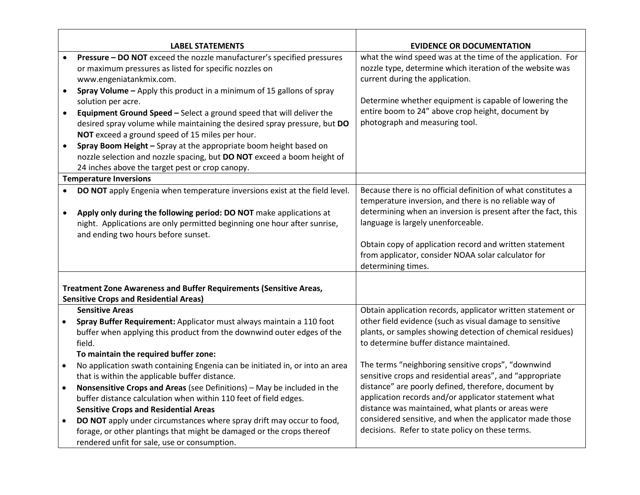|           | <b>LABEL STATEMENTS</b>                                                                                                                                                                              | <b>EVIDENCE OR DOCUMENTATION</b>                                                                                                                            |
|-----------|------------------------------------------------------------------------------------------------------------------------------------------------------------------------------------------------------|-------------------------------------------------------------------------------------------------------------------------------------------------------------|
|           | Pressure - DO NOT exceed the nozzle manufacturer's specified pressures<br>or maximum pressures as listed for specific nozzles on<br>www.engeniatankmix.com.                                          | what the wind speed was at the time of the application. For<br>nozzle type, determine which iteration of the website was<br>current during the application. |
| $\bullet$ | Spray Volume - Apply this product in a minimum of 15 gallons of spray                                                                                                                                | Determine whether equipment is capable of lowering the                                                                                                      |
|           | solution per acre.                                                                                                                                                                                   | entire boom to 24" above crop height, document by                                                                                                           |
| $\bullet$ | Equipment Ground Speed - Select a ground speed that will deliver the<br>desired spray volume while maintaining the desired spray pressure, but DO<br>NOT exceed a ground speed of 15 miles per hour. | photograph and measuring tool.                                                                                                                              |
| $\bullet$ | Spray Boom Height - Spray at the appropriate boom height based on<br>nozzle selection and nozzle spacing, but DO NOT exceed a boom height of                                                         |                                                                                                                                                             |
|           | 24 inches above the target pest or crop canopy.<br><b>Temperature Inversions</b>                                                                                                                     |                                                                                                                                                             |
|           |                                                                                                                                                                                                      | Because there is no official definition of what constitutes a                                                                                               |
|           | DO NOT apply Engenia when temperature inversions exist at the field level.                                                                                                                           | temperature inversion, and there is no reliable way of                                                                                                      |
| $\bullet$ | Apply only during the following period: DO NOT make applications at                                                                                                                                  | determining when an inversion is present after the fact, this                                                                                               |
|           | night. Applications are only permitted beginning one hour after sunrise,                                                                                                                             | language is largely unenforceable.                                                                                                                          |
|           | and ending two hours before sunset.                                                                                                                                                                  |                                                                                                                                                             |
|           |                                                                                                                                                                                                      | Obtain copy of application record and written statement                                                                                                     |
|           |                                                                                                                                                                                                      | from applicator, consider NOAA solar calculator for<br>determining times.                                                                                   |
|           |                                                                                                                                                                                                      |                                                                                                                                                             |
|           | Treatment Zone Awareness and Buffer Requirements (Sensitive Areas,                                                                                                                                   |                                                                                                                                                             |
|           | <b>Sensitive Crops and Residential Areas)</b>                                                                                                                                                        |                                                                                                                                                             |
|           | <b>Sensitive Areas</b>                                                                                                                                                                               | Obtain application records, applicator written statement or                                                                                                 |
| $\bullet$ | Spray Buffer Requirement: Applicator must always maintain a 110 foot                                                                                                                                 | other field evidence (such as visual damage to sensitive                                                                                                    |
|           | buffer when applying this product from the downwind outer edges of the                                                                                                                               | plants, or samples showing detection of chemical residues)                                                                                                  |
|           | field.                                                                                                                                                                                               | to determine buffer distance maintained.                                                                                                                    |
|           | To maintain the required buffer zone:                                                                                                                                                                |                                                                                                                                                             |
| $\bullet$ | No application swath containing Engenia can be initiated in, or into an area                                                                                                                         | The terms "neighboring sensitive crops", "downwind                                                                                                          |
|           | that is within the applicable buffer distance.                                                                                                                                                       | sensitive crops and residential areas", and "appropriate                                                                                                    |
| $\bullet$ | Nonsensitive Crops and Areas (see Definitions) - May be included in the                                                                                                                              | distance" are poorly defined, therefore, document by                                                                                                        |
|           | buffer distance calculation when within 110 feet of field edges.                                                                                                                                     | application records and/or applicator statement what                                                                                                        |
|           | <b>Sensitive Crops and Residential Areas</b>                                                                                                                                                         | distance was maintained, what plants or areas were                                                                                                          |
|           | DO NOT apply under circumstances where spray drift may occur to food,                                                                                                                                | considered sensitive, and when the applicator made those                                                                                                    |
|           | forage, or other plantings that might be damaged or the crops thereof                                                                                                                                | decisions. Refer to state policy on these terms.                                                                                                            |
|           | rendered unfit for sale, use or consumption.                                                                                                                                                         |                                                                                                                                                             |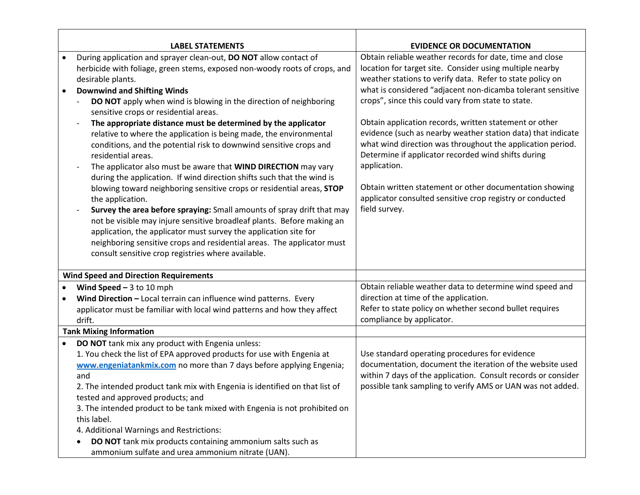|           | <b>LABEL STATEMENTS</b>                                                                                                                                                                                                                                                                                                                                                                                                                                                                                                                                                                                                                                          | <b>EVIDENCE OR DOCUMENTATION</b>                                                                                                                                                                                                                                                                                                                                                                                                                           |
|-----------|------------------------------------------------------------------------------------------------------------------------------------------------------------------------------------------------------------------------------------------------------------------------------------------------------------------------------------------------------------------------------------------------------------------------------------------------------------------------------------------------------------------------------------------------------------------------------------------------------------------------------------------------------------------|------------------------------------------------------------------------------------------------------------------------------------------------------------------------------------------------------------------------------------------------------------------------------------------------------------------------------------------------------------------------------------------------------------------------------------------------------------|
|           | During application and sprayer clean-out, DO NOT allow contact of                                                                                                                                                                                                                                                                                                                                                                                                                                                                                                                                                                                                | Obtain reliable weather records for date, time and close                                                                                                                                                                                                                                                                                                                                                                                                   |
|           | herbicide with foliage, green stems, exposed non-woody roots of crops, and<br>desirable plants.                                                                                                                                                                                                                                                                                                                                                                                                                                                                                                                                                                  | location for target site. Consider using multiple nearby<br>weather stations to verify data. Refer to state policy on                                                                                                                                                                                                                                                                                                                                      |
|           | <b>Downwind and Shifting Winds</b>                                                                                                                                                                                                                                                                                                                                                                                                                                                                                                                                                                                                                               | what is considered "adjacent non-dicamba tolerant sensitive                                                                                                                                                                                                                                                                                                                                                                                                |
|           | DO NOT apply when wind is blowing in the direction of neighboring<br>sensitive crops or residential areas.<br>The appropriate distance must be determined by the applicator<br>relative to where the application is being made, the environmental<br>conditions, and the potential risk to downwind sensitive crops and<br>residential areas.<br>The applicator also must be aware that WIND DIRECTION may vary<br>during the application. If wind direction shifts such that the wind is<br>blowing toward neighboring sensitive crops or residential areas, STOP<br>the application.<br>Survey the area before spraying: Small amounts of spray drift that may | crops", since this could vary from state to state.<br>Obtain application records, written statement or other<br>evidence (such as nearby weather station data) that indicate<br>what wind direction was throughout the application period.<br>Determine if applicator recorded wind shifts during<br>application.<br>Obtain written statement or other documentation showing<br>applicator consulted sensitive crop registry or conducted<br>field survey. |
|           | not be visible may injure sensitive broadleaf plants. Before making an<br>application, the applicator must survey the application site for<br>neighboring sensitive crops and residential areas. The applicator must<br>consult sensitive crop registries where available.                                                                                                                                                                                                                                                                                                                                                                                       |                                                                                                                                                                                                                                                                                                                                                                                                                                                            |
|           | <b>Wind Speed and Direction Requirements</b>                                                                                                                                                                                                                                                                                                                                                                                                                                                                                                                                                                                                                     |                                                                                                                                                                                                                                                                                                                                                                                                                                                            |
| $\bullet$ | Wind Speed $-3$ to 10 mph                                                                                                                                                                                                                                                                                                                                                                                                                                                                                                                                                                                                                                        | Obtain reliable weather data to determine wind speed and                                                                                                                                                                                                                                                                                                                                                                                                   |
|           | Wind Direction - Local terrain can influence wind patterns. Every                                                                                                                                                                                                                                                                                                                                                                                                                                                                                                                                                                                                | direction at time of the application.                                                                                                                                                                                                                                                                                                                                                                                                                      |
|           | applicator must be familiar with local wind patterns and how they affect<br>drift.                                                                                                                                                                                                                                                                                                                                                                                                                                                                                                                                                                               | Refer to state policy on whether second bullet requires<br>compliance by applicator.                                                                                                                                                                                                                                                                                                                                                                       |
|           | <b>Tank Mixing Information</b>                                                                                                                                                                                                                                                                                                                                                                                                                                                                                                                                                                                                                                   |                                                                                                                                                                                                                                                                                                                                                                                                                                                            |
| ٠         | DO NOT tank mix any product with Engenia unless:<br>1. You check the list of EPA approved products for use with Engenia at<br>www.engeniatankmix.com no more than 7 days before applying Engenia;<br>and<br>2. The intended product tank mix with Engenia is identified on that list of<br>tested and approved products; and<br>3. The intended product to be tank mixed with Engenia is not prohibited on<br>this label.<br>4. Additional Warnings and Restrictions:<br>DO NOT tank mix products containing ammonium salts such as                                                                                                                              | Use standard operating procedures for evidence<br>documentation, document the iteration of the website used<br>within 7 days of the application. Consult records or consider<br>possible tank sampling to verify AMS or UAN was not added.                                                                                                                                                                                                                 |
|           | ammonium sulfate and urea ammonium nitrate (UAN).                                                                                                                                                                                                                                                                                                                                                                                                                                                                                                                                                                                                                |                                                                                                                                                                                                                                                                                                                                                                                                                                                            |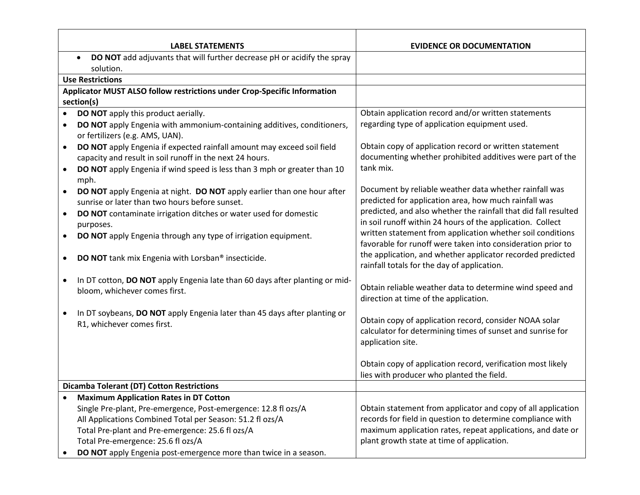|           | <b>LABEL STATEMENTS</b>                                                                                                            | <b>EVIDENCE OR DOCUMENTATION</b>                                                                                                          |
|-----------|------------------------------------------------------------------------------------------------------------------------------------|-------------------------------------------------------------------------------------------------------------------------------------------|
|           | DO NOT add adjuvants that will further decrease pH or acidify the spray<br>$\bullet$                                               |                                                                                                                                           |
|           | solution.                                                                                                                          |                                                                                                                                           |
|           | <b>Use Restrictions</b>                                                                                                            |                                                                                                                                           |
|           | Applicator MUST ALSO follow restrictions under Crop-Specific Information                                                           |                                                                                                                                           |
|           | section(s)                                                                                                                         |                                                                                                                                           |
|           | DO NOT apply this product aerially.                                                                                                | Obtain application record and/or written statements                                                                                       |
| $\bullet$ | DO NOT apply Engenia with ammonium-containing additives, conditioners,<br>or fertilizers (e.g. AMS, UAN).                          | regarding type of application equipment used.                                                                                             |
|           | DO NOT apply Engenia if expected rainfall amount may exceed soil field<br>capacity and result in soil runoff in the next 24 hours. | Obtain copy of application record or written statement<br>documenting whether prohibited additives were part of the                       |
|           | DO NOT apply Engenia if wind speed is less than 3 mph or greater than 10<br>mph.                                                   | tank mix.                                                                                                                                 |
|           | DO NOT apply Engenia at night. DO NOT apply earlier than one hour after<br>sunrise or later than two hours before sunset.          | Document by reliable weather data whether rainfall was<br>predicted for application area, how much rainfall was                           |
|           | DO NOT contaminate irrigation ditches or water used for domestic<br>purposes.                                                      | predicted, and also whether the rainfall that did fall resulted<br>in soil runoff within 24 hours of the application. Collect             |
|           | DO NOT apply Engenia through any type of irrigation equipment.                                                                     | written statement from application whether soil conditions<br>favorable for runoff were taken into consideration prior to                 |
|           | DO NOT tank mix Engenia with Lorsban® insecticide.                                                                                 | the application, and whether applicator recorded predicted<br>rainfall totals for the day of application.                                 |
| $\bullet$ | In DT cotton, DO NOT apply Engenia late than 60 days after planting or mid-<br>bloom, whichever comes first.                       | Obtain reliable weather data to determine wind speed and<br>direction at time of the application.                                         |
|           | In DT soybeans, DO NOT apply Engenia later than 45 days after planting or<br>R1, whichever comes first.                            | Obtain copy of application record, consider NOAA solar<br>calculator for determining times of sunset and sunrise for<br>application site. |
|           |                                                                                                                                    | Obtain copy of application record, verification most likely<br>lies with producer who planted the field.                                  |
|           | <b>Dicamba Tolerant (DT) Cotton Restrictions</b>                                                                                   |                                                                                                                                           |
|           | <b>Maximum Application Rates in DT Cotton</b>                                                                                      |                                                                                                                                           |
|           | Single Pre-plant, Pre-emergence, Post-emergence: 12.8 fl ozs/A                                                                     | Obtain statement from applicator and copy of all application                                                                              |
|           | All Applications Combined Total per Season: 51.2 fl ozs/A                                                                          | records for field in question to determine compliance with                                                                                |
|           | Total Pre-plant and Pre-emergence: 25.6 fl ozs/A                                                                                   | maximum application rates, repeat applications, and date or                                                                               |
|           | Total Pre-emergence: 25.6 fl ozs/A                                                                                                 | plant growth state at time of application.                                                                                                |
|           | DO NOT apply Engenia post-emergence more than twice in a season.                                                                   |                                                                                                                                           |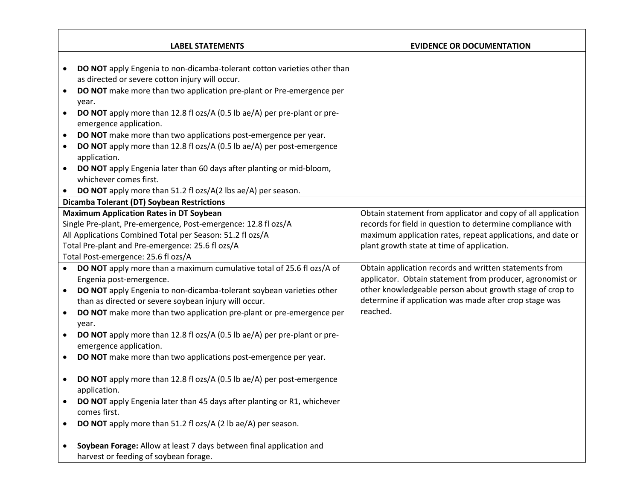|           | <b>LABEL STATEMENTS</b>                                                                                                     | <b>EVIDENCE OR DOCUMENTATION</b>                             |
|-----------|-----------------------------------------------------------------------------------------------------------------------------|--------------------------------------------------------------|
|           |                                                                                                                             |                                                              |
| $\bullet$ | DO NOT apply Engenia to non-dicamba-tolerant cotton varieties other than<br>as directed or severe cotton injury will occur. |                                                              |
| $\bullet$ | DO NOT make more than two application pre-plant or Pre-emergence per                                                        |                                                              |
|           | year.                                                                                                                       |                                                              |
|           | <b>DO NOT</b> apply more than 12.8 fl ozs/A (0.5 lb ae/A) per pre-plant or pre-<br>emergence application.                   |                                                              |
| $\bullet$ | DO NOT make more than two applications post-emergence per year.                                                             |                                                              |
| $\bullet$ | <b>DO NOT</b> apply more than 12.8 fl ozs/A (0.5 lb ae/A) per post-emergence                                                |                                                              |
|           | application.                                                                                                                |                                                              |
|           | DO NOT apply Engenia later than 60 days after planting or mid-bloom,<br>whichever comes first.                              |                                                              |
| $\bullet$ | DO NOT apply more than 51.2 fl ozs/A(2 lbs ae/A) per season.                                                                |                                                              |
|           | <b>Dicamba Tolerant (DT) Soybean Restrictions</b>                                                                           |                                                              |
|           | <b>Maximum Application Rates in DT Soybean</b>                                                                              | Obtain statement from applicator and copy of all application |
|           | Single Pre-plant, Pre-emergence, Post-emergence: 12.8 fl ozs/A                                                              | records for field in question to determine compliance with   |
|           | All Applications Combined Total per Season: 51.2 fl ozs/A                                                                   | maximum application rates, repeat applications, and date or  |
|           | Total Pre-plant and Pre-emergence: 25.6 fl ozs/A                                                                            | plant growth state at time of application.                   |
|           | Total Post-emergence: 25.6 fl ozs/A                                                                                         |                                                              |
| $\bullet$ | DO NOT apply more than a maximum cumulative total of 25.6 fl ozs/A of                                                       | Obtain application records and written statements from       |
|           | Engenia post-emergence.                                                                                                     | applicator. Obtain statement from producer, agronomist or    |
| $\bullet$ | DO NOT apply Engenia to non-dicamba-tolerant soybean varieties other                                                        | other knowledgeable person about growth stage of crop to     |
|           | than as directed or severe soybean injury will occur.                                                                       | determine if application was made after crop stage was       |
| $\bullet$ | DO NOT make more than two application pre-plant or pre-emergence per<br>year.                                               | reached.                                                     |
| $\bullet$ | <b>DO NOT</b> apply more than 12.8 fl ozs/A (0.5 lb ae/A) per pre-plant or pre-<br>emergence application.                   |                                                              |
| $\bullet$ | DO NOT make more than two applications post-emergence per year.                                                             |                                                              |
|           | <b>DO NOT</b> apply more than 12.8 fl ozs/A (0.5 lb ae/A) per post-emergence<br>application.                                |                                                              |
|           | DO NOT apply Engenia later than 45 days after planting or R1, whichever<br>comes first.                                     |                                                              |
|           | DO NOT apply more than 51.2 fl ozs/A (2 lb ae/A) per season.                                                                |                                                              |
|           | Soybean Forage: Allow at least 7 days between final application and                                                         |                                                              |
|           | harvest or feeding of soybean forage.                                                                                       |                                                              |